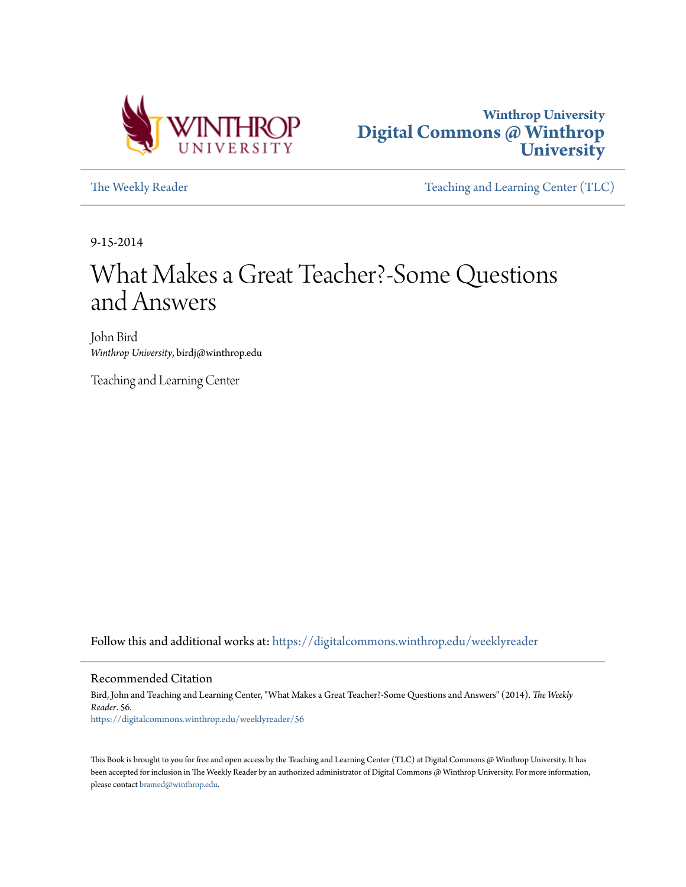



[The Weekly Reader](https://digitalcommons.winthrop.edu/weeklyreader?utm_source=digitalcommons.winthrop.edu%2Fweeklyreader%2F56&utm_medium=PDF&utm_campaign=PDFCoverPages) The Weekly Reader [Teaching and Learning Center \(TLC\)](https://digitalcommons.winthrop.edu/tlc?utm_source=digitalcommons.winthrop.edu%2Fweeklyreader%2F56&utm_medium=PDF&utm_campaign=PDFCoverPages)

9-15-2014

## What Makes a Great Teacher?-Some Questions and Answers

John Bird *Winthrop University*, birdj@winthrop.edu

Teaching and Learning Center

Follow this and additional works at: [https://digitalcommons.winthrop.edu/weeklyreader](https://digitalcommons.winthrop.edu/weeklyreader?utm_source=digitalcommons.winthrop.edu%2Fweeklyreader%2F56&utm_medium=PDF&utm_campaign=PDFCoverPages)

#### Recommended Citation

Bird, John and Teaching and Learning Center, "What Makes a Great Teacher?-Some Questions and Answers" (2014). *The Weekly Reader*. 56. [https://digitalcommons.winthrop.edu/weeklyreader/56](https://digitalcommons.winthrop.edu/weeklyreader/56?utm_source=digitalcommons.winthrop.edu%2Fweeklyreader%2F56&utm_medium=PDF&utm_campaign=PDFCoverPages)

This Book is brought to you for free and open access by the Teaching and Learning Center (TLC) at Digital Commons @ Winthrop University. It has been accepted for inclusion in The Weekly Reader by an authorized administrator of Digital Commons @ Winthrop University. For more information, please contact [bramed@winthrop.edu](mailto:bramed@winthrop.edu).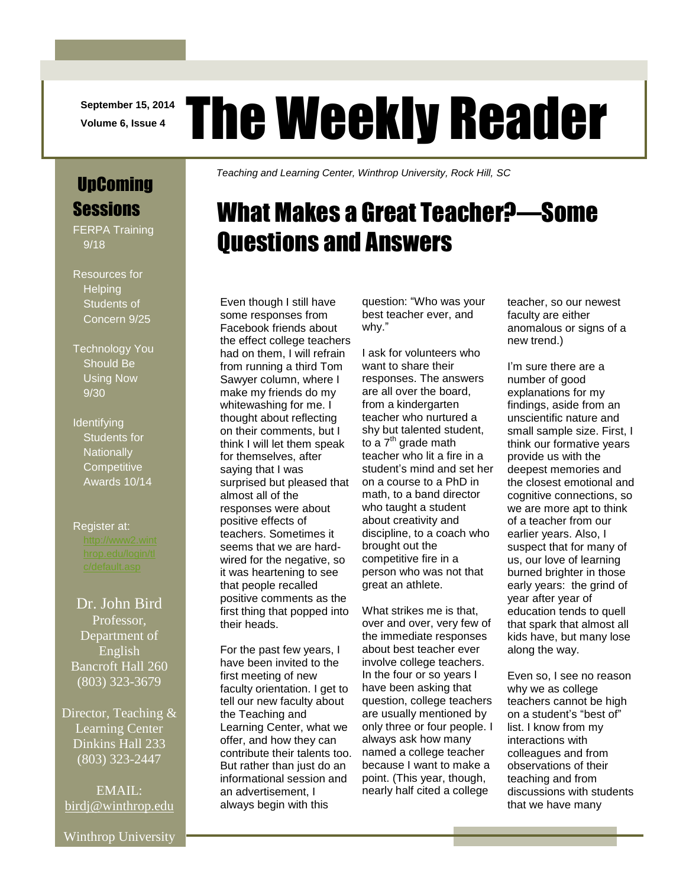**September 15, 2014**

# **September 15, 2014 The Weekly Reader**

UpComing **Sessions** 

FERPA Training 9/18

Resources for **Helping** Students of Concern 9/25

Technology You Should Be Using Now 9/30

**Identifying** Students for **Nationally Competitive** Awards 10/14

Register at:

#### Dr. John Bird Professor, Department of English Bancroft Hall 260

(803) 323-3679

Director, Teaching & Learning Center Dinkins Hall 233 (803) 323-2447

EMAIL: [birdj@winthrop.edu](mailto:birdj@winthrop.edu) *Teaching and Learning Center, Winthrop University, Rock Hill, SC*

# What Makes a Great Teacher?—Some Questions and Answers

Even though I still have some responses from Facebook friends about the effect college teachers had on them, I will refrain from running a third Tom Sawyer column, where I make my friends do my whitewashing for me. I thought about reflecting on their comments, but I think I will let them speak for themselves, after saying that I was surprised but pleased that almost all of the responses were about positive effects of teachers. Sometimes it seems that we are hardwired for the negative, so it was heartening to see that people recalled positive comments as the first thing that popped into their heads.

For the past few years, I have been invited to the first meeting of new faculty orientation. I get to tell our new faculty about the Teaching and Learning Center, what we offer, and how they can contribute their talents too. But rather than just do an informational session and an advertisement, I always begin with this

question: "Who was your best teacher ever, and why."

I ask for volunteers who want to share their responses. The answers are all over the board, from a kindergarten teacher who nurtured a shy but talented student, to a 7<sup>th</sup> grade math teacher who lit a fire in a student's mind and set her on a course to a PhD in math, to a band director who taught a student about creativity and discipline, to a coach who brought out the competitive fire in a person who was not that great an athlete.

What strikes me is that, over and over, very few of the immediate responses about best teacher ever involve college teachers. In the four or so years I have been asking that question, college teachers are usually mentioned by only three or four people. I always ask how many named a college teacher because I want to make a point. (This year, though, nearly half cited a college

teacher, so our newest faculty are either anomalous or signs of a new trend.)

I'm sure there are a number of good explanations for my findings, aside from an unscientific nature and small sample size. First, I think our formative years provide us with the deepest memories and the closest emotional and cognitive connections, so we are more apt to think of a teacher from our earlier years. Also, I suspect that for many of us, our love of learning burned brighter in those early years: the grind of year after year of education tends to quell that spark that almost all kids have, but many lose along the way.

Even so, I see no reason why we as college teachers cannot be high on a student's "best of" list. I know from my interactions with colleagues and from observations of their teaching and from discussions with students that we have many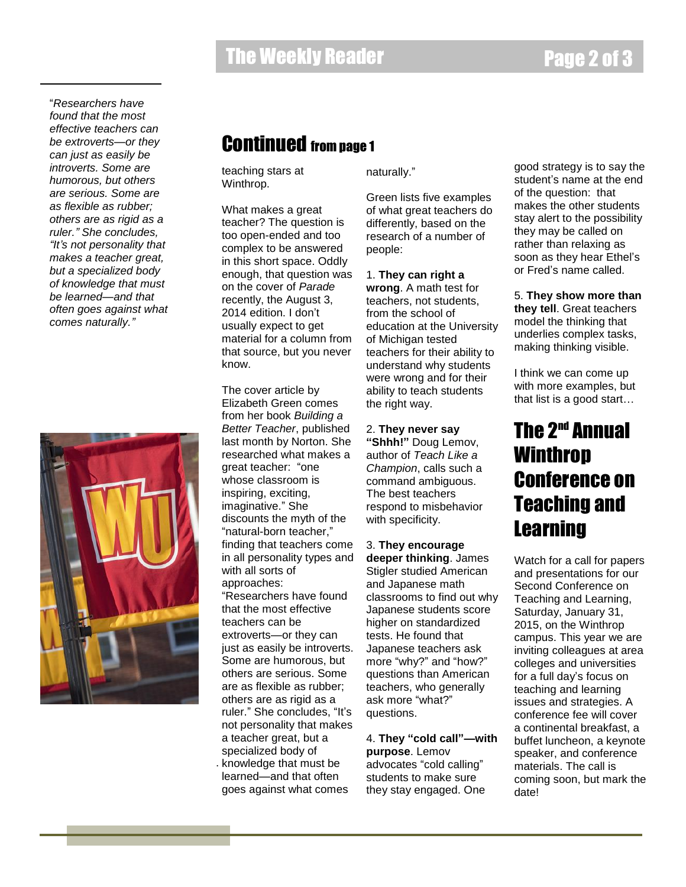"*Researchers have found that the most effective teachers can be extroverts—or they can just as easily be introverts. Some are humorous, but others are serious. Some are as flexible as rubber; others are as rigid as a ruler." She concludes, "It's not personality that makes a teacher great, but a specialized body of knowledge that must be learned—and that often goes against what comes naturally."*



#### Continued from page 1

teaching stars at Winthrop.

What makes a great teacher? The question is too open-ended and too complex to be answered in this short space. Oddly enough, that question was on the cover of *Parade* recently, the August 3, 2014 edition. I don't usually expect to get material for a column from that source, but you never know.

The cover article by Elizabeth Green comes from her book *Building a Better Teacher*, published last month by Norton. She researched what makes a great teacher: "one whose classroom is inspiring, exciting, imaginative." She discounts the myth of the "natural-born teacher," finding that teachers come in all personality types and with all sorts of approaches: "Researchers have found that the most effective teachers can be extroverts—or they can just as easily be introverts. Some are humorous, but others are serious. Some are as flexible as rubber; others are as rigid as a ruler." She concludes, "It's not personality that makes a teacher great, but a specialized body of . knowledge that must be learned—and that often goes against what comes

naturally."

Green lists five examples of what great teachers do differently, based on the research of a number of people:

1. **They can right a** 

**wrong**. A math test for teachers, not students, from the school of education at the University of Michigan tested teachers for their ability to understand why students were wrong and for their ability to teach students the right way.

2. **They never say "Shhh!"** Doug Lemov, author of *Teach Like a Champion*, calls such a command ambiguous. The best teachers respond to misbehavior with specificity.

3. **They encourage deeper thinking**. James Stigler studied American and Japanese math classrooms to find out why Japanese students score higher on standardized tests. He found that Japanese teachers ask more "why?" and "how?" questions than American teachers, who generally ask more "what?" questions.

4. **They "cold call"—with purpose**. Lemov advocates "cold calling" students to make sure they stay engaged. One

good strategy is to say the student's name at the end of the question: that makes the other students stay alert to the possibility they may be called on rather than relaxing as soon as they hear Ethel's or Fred's name called.

5. **They show more than they tell**. Great teachers model the thinking that underlies complex tasks, making thinking visible.

I think we can come up with more examples, but that list is a good start…

### **The 2<sup>nd</sup> Annual** Winthrop Conference on Teaching and **Learning**

Watch for a call for papers and presentations for our Second Conference on Teaching and Learning, Saturday, January 31, 2015, on the Winthrop campus. This year we are inviting colleagues at area colleges and universities for a full day's focus on teaching and learning issues and strategies. A conference fee will cover a continental breakfast, a buffet luncheon, a keynote speaker, and conference materials. The call is coming soon, but mark the date!